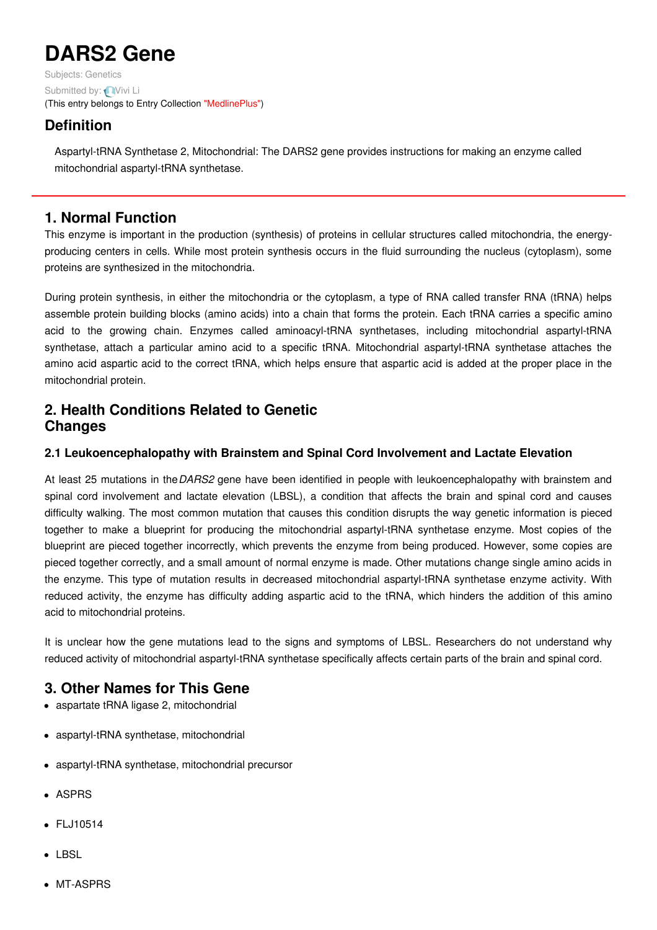# **DARS2 Gene**

Subjects: [Genetics](https://encyclopedia.pub/item/subject/56) Submitted by: Nivi Li (This entry belongs to Entry Collection ["MedlinePlus"](https://encyclopedia.pub/entry/collection/24))

## **Definition**

Aspartyl-tRNA Synthetase 2, Mitochondrial: The DARS2 gene provides instructions for making an enzyme called mitochondrial aspartyl-tRNA synthetase.

## **1. Normal Function**

This enzyme is important in the production (synthesis) of proteins in cellular structures called mitochondria, the energyproducing centers in cells. While most protein synthesis occurs in the fluid surrounding the nucleus (cytoplasm), some proteins are synthesized in the mitochondria.

During protein synthesis, in either the mitochondria or the cytoplasm, a type of RNA called transfer RNA (tRNA) helps assemble protein building blocks (amino acids) into a chain that forms the protein. Each tRNA carries a specific amino acid to the growing chain. Enzymes called aminoacyl-tRNA synthetases, including mitochondrial aspartyl-tRNA synthetase, attach a particular amino acid to a specific tRNA. Mitochondrial aspartyl-tRNA synthetase attaches the amino acid aspartic acid to the correct tRNA, which helps ensure that aspartic acid is added at the proper place in the mitochondrial protein.

## **2. Health Conditions Related to Genetic Changes**

#### **2.1 Leukoencephalopathy with Brainstem and Spinal Cord Involvement and Lactate Elevation**

At least 25 mutations in the*DARS2* gene have been identified in people with leukoencephalopathy with brainstem and spinal cord involvement and lactate elevation (LBSL), a condition that affects the brain and spinal cord and causes difficulty walking. The most common mutation that causes this condition disrupts the way genetic information is pieced together to make a blueprint for producing the mitochondrial aspartyl-tRNA synthetase enzyme. Most copies of the blueprint are pieced together incorrectly, which prevents the enzyme from being produced. However, some copies are pieced together correctly, and a small amount of normal enzyme is made. Other mutations change single amino acids in the enzyme. This type of mutation results in decreased mitochondrial aspartyl-tRNA synthetase enzyme activity. With reduced activity, the enzyme has difficulty adding aspartic acid to the tRNA, which hinders the addition of this amino acid to mitochondrial proteins.

It is unclear how the gene mutations lead to the signs and symptoms of LBSL. Researchers do not understand why reduced activity of mitochondrial aspartyl-tRNA synthetase specifically affects certain parts of the brain and spinal cord.

# **3. Other Names for This Gene**

- aspartate tRNA ligase 2, mitochondrial
- aspartyl-tRNA synthetase, mitochondrial
- aspartyl-tRNA synthetase, mitochondrial precursor
- ASPRS
- FLJ10514
- $\bullet$  LBSL
- MT-ASPRS